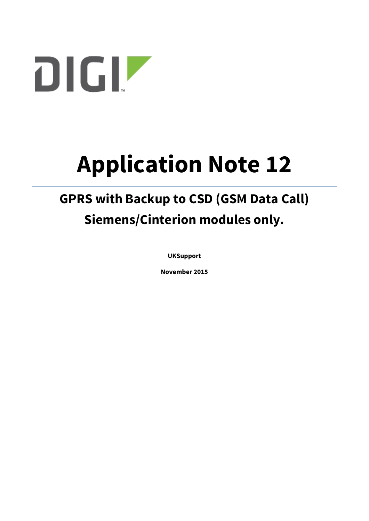

# **Application Note 12**

## **GPRS with Backup to CSD (GSM Data Call) Siemens/Cinterion modules only.**

**UKSupport**

**November 2015**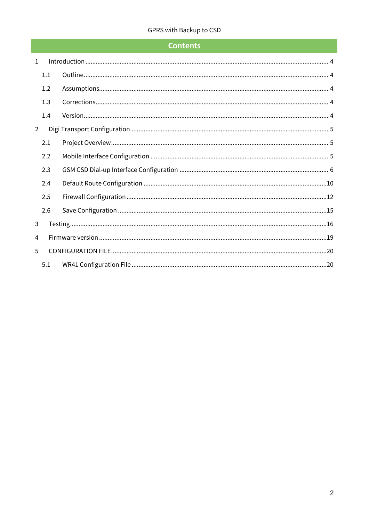## **Contents**

| $\mathbf{1}$   |     |  |
|----------------|-----|--|
|                | 1.1 |  |
|                | 1.2 |  |
|                | 1.3 |  |
|                | 1.4 |  |
| $\overline{2}$ |     |  |
|                | 2.1 |  |
|                | 2.2 |  |
|                | 2.3 |  |
|                | 2.4 |  |
|                | 2.5 |  |
|                | 2.6 |  |
| 3              |     |  |
| 4              |     |  |
| 5              |     |  |
|                | 5.1 |  |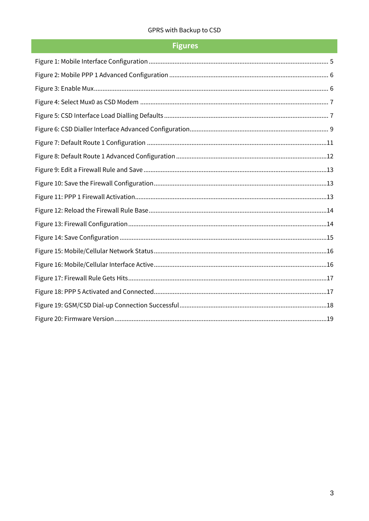## **Figures**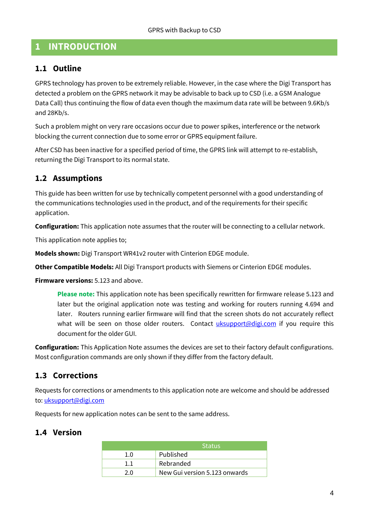## <span id="page-3-0"></span>**1 INTRODUCTION**

## <span id="page-3-1"></span>**1.1 Outline**

GPRS technology has proven to be extremely reliable. However, in the case where the Digi Transport has detected a problem on the GPRS network it may be advisable to back up to CSD (i.e. a GSM Analogue Data Call) thus continuing the flow of data even though the maximum data rate will be between 9.6Kb/s and 28Kb/s.

Such a problem might on very rare occasions occur due to power spikes, interference or the network blocking the current connection due to some error or GPRS equipment failure.

After CSD has been inactive for a specified period of time, the GPRS link will attempt to re-establish, returning the Digi Transport to its normal state.

## <span id="page-3-2"></span>**1.2 Assumptions**

This guide has been written for use by technically competent personnel with a good understanding of the communications technologies used in the product, and of the requirements for their specific application.

**Configuration:** This application note assumes that the router will be connecting to a cellular network.

This application note applies to;

**Models shown:** Digi Transport WR41v2 router with Cinterion EDGE module.

**Other Compatible Models:** All Digi Transport products with Siemens or Cinterion EDGE modules.

**Firmware versions:** 5.123 and above.

**Please note:** This application note has been specifically rewritten for firmware release 5.123 and later but the original application note was testing and working for routers running 4.694 and later. Routers running earlier firmware will find that the screen shots do not accurately reflect what will be seen on those older routers. Contact *uksupport@digi.com* if you require this document for the older GUI.

**Configuration:** This Application Note assumes the devices are set to their factory default configurations. Most configuration commands are only shown if they differ from the factory default.

## <span id="page-3-3"></span>**1.3 Corrections**

Requests for corrections or amendments to this application note are welcome and should be addressed to[: uksupport@digi.com](mailto:uksupport@digi.com)

Requests for new application notes can be sent to the same address.

## <span id="page-3-4"></span>**1.4 Version**

|     | <b>Status</b>                 |  |
|-----|-------------------------------|--|
| 1.0 | Published                     |  |
| 1.1 | Rebranded                     |  |
| 2 Q | New Gui version 5.123 onwards |  |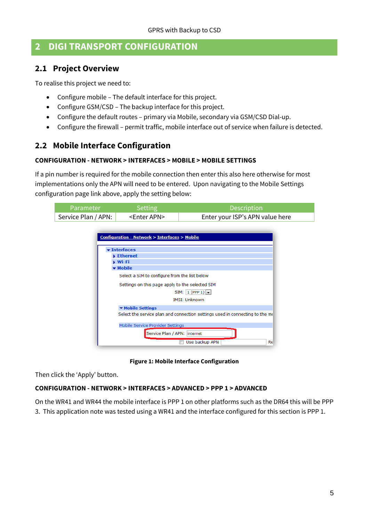## <span id="page-4-0"></span>**2 DIGI TRANSPORT CONFIGURATION**

## <span id="page-4-1"></span>**2.1 Project Overview**

To realise this project we need to:

- Configure mobile The default interface for this project.
- Configure GSM/CSD The backup interface for this project.
- Configure the default routes primary via Mobile, secondary via GSM/CSD Dial-up.
- Configure the firewall permit traffic, mobile interface out of service when failure is detected.

## <span id="page-4-2"></span>**2.2 Mobile Interface Configuration**

#### **CONFIGURATION - NETWORK > INTERFACES > MOBILE > MOBILE SETTINGS**

If a pin number is required for the mobile connection then enter this also here otherwise for most implementations only the APN will need to be entered. Upon navigating to the Mobile Settings configuration page link above, apply the setting below:

| Parameter                                     | <b>Setting</b>                                             | Description                                                                   |
|-----------------------------------------------|------------------------------------------------------------|-------------------------------------------------------------------------------|
| Service Plan / APN:                           | <enter apn=""></enter>                                     | Enter your ISP's APN value here                                               |
|                                               |                                                            |                                                                               |
|                                               | <b>Configuration - Network &gt; Interfaces &gt; Mobile</b> |                                                                               |
|                                               | <b>v</b> Interfaces                                        |                                                                               |
|                                               | Ethernet                                                   |                                                                               |
|                                               | ▶ Wi-Fi                                                    |                                                                               |
|                                               | $\blacktriangleright$ Mobile                               |                                                                               |
| Select a SIM to configure from the list below |                                                            |                                                                               |
|                                               | Settings on this page apply to the selected SIM            |                                                                               |
|                                               |                                                            | SIM: $1$ (PPP 1) $\sqrt{ }$                                                   |
|                                               |                                                            | <b>IMSI: Unknown</b>                                                          |
|                                               | ▼ Mobile Settings                                          |                                                                               |
|                                               |                                                            | Select the service plan and connection settings used in connecting to the $m$ |
|                                               | Mobile Service Provider Settings                           |                                                                               |
|                                               | Service Plan / APN: internet                               |                                                                               |
|                                               |                                                            | Use backup APN<br>Re                                                          |

**Figure 1: Mobile Interface Configuration**

<span id="page-4-3"></span>Then click the 'Apply' button.

#### **CONFIGURATION - NETWORK > INTERFACES > ADVANCED > PPP 1 > ADVANCED**

On the WR41 and WR44 the mobile interface is PPP 1 on other platforms such as the DR64 this will be PPP 3. This application note was tested using a WR41 and the interface configured for this section is PPP 1.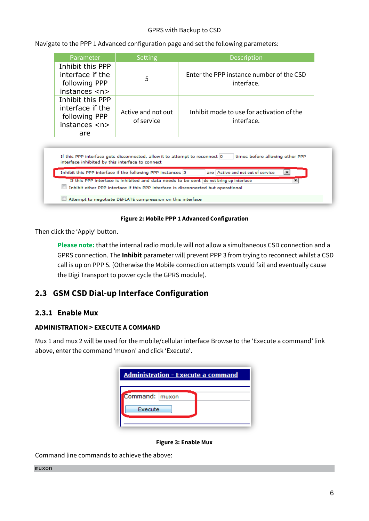Navigate to the PPP 1 Advanced configuration page and set the following parameters:

| Parameter                                                                              | Setting                                                                     | <b>Description</b>                                                                                                                                                                 |
|----------------------------------------------------------------------------------------|-----------------------------------------------------------------------------|------------------------------------------------------------------------------------------------------------------------------------------------------------------------------------|
| Inhibit this PPP<br>interface if the<br>following PPP<br>instances <sub>n</sub>        | 5                                                                           | Enter the PPP instance number of the CSD<br>interface.                                                                                                                             |
| Inhibit this PPP<br>interface if the<br>following PPP<br>instances <sub>0</sub><br>are | Active and not out<br>of service                                            | Inhibit mode to use for activation of the<br>interface.                                                                                                                            |
|                                                                                        |                                                                             |                                                                                                                                                                                    |
| interface inhibited by this interface to connect                                       | If this PPP interface gets disconnected, allow it to attempt to reconnect 0 | times before allowing other PPP                                                                                                                                                    |
|                                                                                        | Inhibit this PPP interface if the following PPP instances 5                 | are Active and not out of service<br>▼                                                                                                                                             |
|                                                                                        |                                                                             | If this PPP interface is inhibited and data needs to be sent   do not bring up interface<br>▼<br>Inhibit other PPP interface if this PPP interface is disconnected but operational |

#### **Figure 2: Mobile PPP 1 Advanced Configuration**

<span id="page-5-1"></span>Then click the 'Apply' button.

**Please note:** that the internal radio module will not allow a simultaneous CSD connection and a GPRS connection. The **Inhibit** parameter will prevent PPP 3 from trying to reconnect whilst a CSD call is up on PPP 5. (Otherwise the Mobile connection attempts would fail and eventually cause the Digi Transport to power cycle the GPRS module).

## <span id="page-5-0"></span>**2.3 GSM CSD Dial-up Interface Configuration**

Attempt to negotiate DEFLATE compression on this interface

#### **2.3.1 Enable Mux**

#### **ADMINISTRATION > EXECUTE A COMMAND**

Mux 1 and mux 2 will be used for the mobile/cellular interface Browse to the 'Execute a command' link above, enter the command 'muxon' and click 'Execute'.

| Administration - Execute a command |  |
|------------------------------------|--|
| Command:   muxon                   |  |
| Execute                            |  |

#### **Figure 3: Enable Mux**

<span id="page-5-2"></span>Command line commands to achieve the above:

#### muxon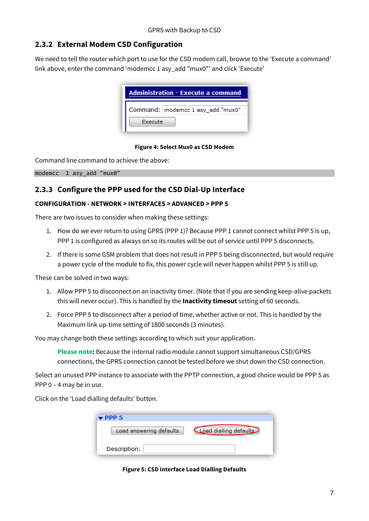## **2.3.2 External Modem CSD Configuration**

We need to tell the router which port to use for the CSD modem call, browse to the 'Execute a command' link above, enter the command 'modemcc 1 asy\_add "mux0"' and click 'Execute'

|         | <b>Administration - Execute a command</b> |
|---------|-------------------------------------------|
|         | Command: modemcc 1 asy_add "mux0"         |
| Execute |                                           |

#### **Figure 4: Select Mux0 as CSD Modem**

<span id="page-6-0"></span>Command line command to achieve the above:

modemcc 1 asy add "mux0"

## **2.3.3 Configure the PPP used for the CSD Dial-Up Interface**

#### **CONFIGURATION - NETWORK > INTERFACES > ADVANCED > PPP 5**

There are two issues to consider when making these settings:

- 1. How do we ever return to using GPRS (PPP 1)? Because PPP 1 cannot connect whilst PPP 5 is up, PPP 1 is configured as always on so its routes will be out of service until PPP 5 disconnects.
- 2. If there is some GSM problem that does not result in PPP 5 being disconnected, but would require a power cycle of the module to fix, this power cycle will never happen whilst PPP 5 is still up.

These can be solved in two ways:

- 1. Allow PPP 5 to disconnect on an inactivity timer. (Note that if you are sending keep-alive packets this will never occur). This is handled by the **Inactivity timeout** setting of 60 seconds.
- 2. Force PPP 5 to disconnect after a period of time, whether active or not. This is handled by the Maximum link up-time setting of 1800 seconds (3 minutes).

You may change both these settings according to which suit your application.

**Please note:** Because the internal radio module cannot support simultaneous CSD/GPRS connections, the GPRS connection cannot be tested before we shut down the CSD connection.

Select an unused PPP instance to associate with the PPTP connection, a good choice would be PPP 5 as PPP 0 – 4 may be in use.

<span id="page-6-1"></span>Click on the 'Load dialling defaults' button.

| $\blacktriangleright$ PPP 5 |                        |
|-----------------------------|------------------------|
| Load answering defaults     | Load dialling defaults |
| Description:                |                        |

**Figure 5: CSD Interface Load Dialling Defaults**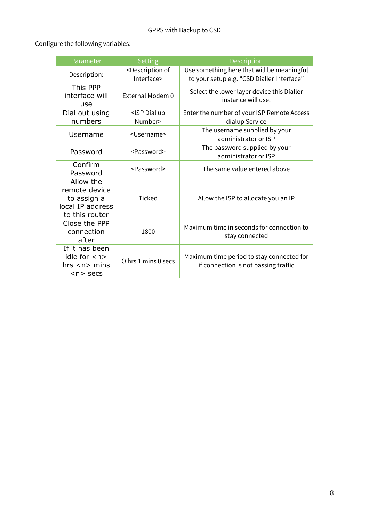Configure the following variables:

| Parameter                                                                       | <b>Setting</b>                                    | Description                                                                              |
|---------------------------------------------------------------------------------|---------------------------------------------------|------------------------------------------------------------------------------------------|
| Description:                                                                    | <description of<br="">Interface&gt;</description> | Use something here that will be meaningful<br>to your setup e.g. "CSD Dialler Interface" |
| This PPP<br>interface will<br>use                                               | External Modem 0                                  | Select the lower layer device this Dialler<br>instance will use.                         |
| Dial out using<br>numbers                                                       | <isp dial="" up<br="">Number&gt;</isp>            | Enter the number of your ISP Remote Access<br>dialup Service                             |
| Username                                                                        | <username></username>                             | The username supplied by your<br>administrator or ISP                                    |
| Password                                                                        | <password></password>                             | The password supplied by your<br>administrator or ISP                                    |
| Confirm<br>Password                                                             | <password></password>                             | The same value entered above                                                             |
| Allow the<br>remote device<br>to assign a<br>local IP address<br>to this router | <b>Ticked</b>                                     | Allow the ISP to allocate you an IP                                                      |
| Close the PPP<br>connection<br>after                                            | 1800                                              | Maximum time in seconds for connection to<br>stay connected                              |
| If it has been<br>idle for $\langle n \rangle$<br>hrs < n > mins<br>$n$ secs    | O hrs 1 mins 0 secs                               | Maximum time period to stay connected for<br>if connection is not passing traffic        |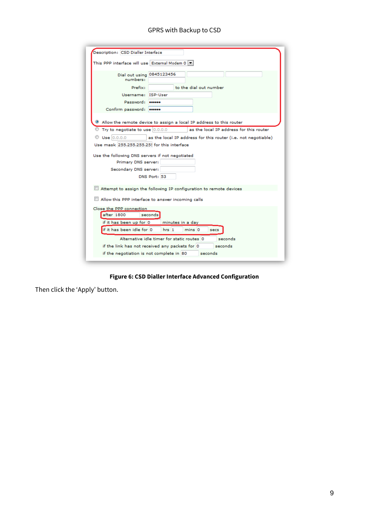| Description: CSD Dialler Interface                                                         |  |  |  |
|--------------------------------------------------------------------------------------------|--|--|--|
| This PPP interface will use External Modem 0                                               |  |  |  |
| Dial out using 0845123456<br>numbers:                                                      |  |  |  |
| Prefix:<br>to the dial out number                                                          |  |  |  |
| Username: ISP-User                                                                         |  |  |  |
| Password: <b>******</b>                                                                    |  |  |  |
| Confirm password:                                                                          |  |  |  |
| <sup>3</sup> Allow the remote device to assign a local IP address to this router           |  |  |  |
| $\mathbb O$ Try to negotiate to use $ 0.0.0.0 $<br>as the local IP address for this router |  |  |  |
| Use 0.0.0.0<br>as the local IP address for this router (i.e. not negotiable)               |  |  |  |
| Use mask 255,255,255,255 for this interface                                                |  |  |  |
| Use the following DNS servers if not negotiated                                            |  |  |  |
| Primary DNS server:                                                                        |  |  |  |
| Secondary DNS server:                                                                      |  |  |  |
| DNS Port: 53                                                                               |  |  |  |
| Attempt to assign the following IP configuration to remote devices                         |  |  |  |
| Allow this PPP interface to answer incoming calls                                          |  |  |  |
| Close the PPP connection                                                                   |  |  |  |
| after 1800<br>seconds                                                                      |  |  |  |
| if it has been up for 0<br>minutes in a day                                                |  |  |  |
| if it has been idle for 0<br>hrs <sub>1</sub><br>mins <sub>0</sub><br>secs                 |  |  |  |
| Alternative idle timer for static routes 0<br>seconds                                      |  |  |  |
| seconds<br>if the link has not received any packets for 10                                 |  |  |  |
| if the negotiation is not complete in 80<br>seconds                                        |  |  |  |
|                                                                                            |  |  |  |

**Figure 6: CSD Dialler Interface Advanced Configuration**

<span id="page-8-0"></span>Then click the 'Apply' button.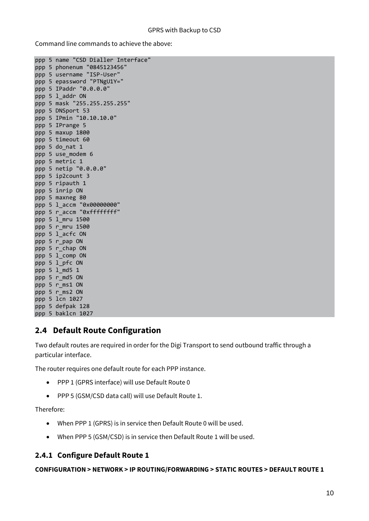Command line commands to achieve the above:

```
ppp 5 name "CSD Dialler Interface"
ppp 5 phonenum "0845123456"
ppp 5 username "ISP-User"
ppp 5 epassword "PTNgU1Y="
ppp 5 IPaddr "0.0.0.0"
ppp 5 l_addr ON
ppp 5 mask "255.255.255.255"
ppp 5 DNSport 53
ppp 5 IPmin "10.10.10.0"
ppp 5 IPrange 5
ppp 5 maxup 1800
ppp 5 timeout 60
ppp 5 do_nat 1
ppp 5 use_modem 6
ppp 5 metric 1
ppp 5 netip "0.0.0.0"
ppp 5 ip2count 3
ppp 5 ripauth 1
ppp 5 inrip ON
ppp 5 maxneg 80
ppp 5 l_accm "0x00000000"
ppp 5 r_accm "0xffffffff"
ppp 5 l_mru 1500
ppp 5 r_mru 1500
ppp 5 l_acfc ON
ppp 5 r_pap ON
ppp 5 r chap ON
ppp 5 l_comp ON
ppp 5 l_pfc ON
ppp 5 \overline{1} md5 1
ppp 5 r md5 ON
ppp 5 r_ms1 ON
ppp 5 r_ms2 ON
ppp 5 lcn 1027
ppp 5 defpak 128
ppp 5 baklcn 1027
```
## <span id="page-9-0"></span>**2.4 Default Route Configuration**

Two default routes are required in order for the Digi Transport to send outbound traffic through a particular interface.

The router requires one default route for each PPP instance.

- PPP 1 (GPRS interface) will use Default Route 0
- PPP 5 (GSM/CSD data call) will use Default Route 1.

Therefore:

- When PPP 1 (GPRS) is in service then Default Route 0 will be used.
- When PPP 5 (GSM/CSD) is in service then Default Route 1 will be used.

### **2.4.1 Configure Default Route 1**

**CONFIGURATION > NETWORK > IP ROUTING/FORWARDING > STATIC ROUTES > DEFAULT ROUTE 1**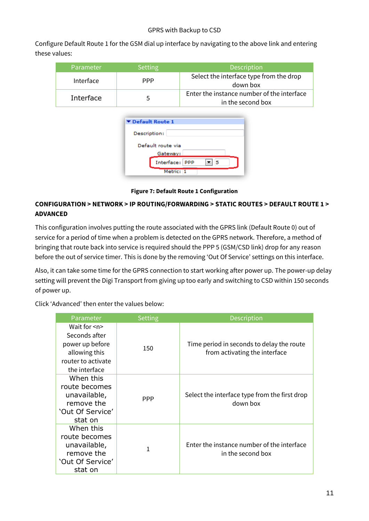Configure Default Route 1 for the GSM dial up interface by navigating to the above link and entering these values:

| Parameter | Setting      | <b>Description</b>                                              |
|-----------|--------------|-----------------------------------------------------------------|
| Interface | <b>PPP</b>   | Select the interface type from the drop<br>down box             |
| Interface | $\mathbf{h}$ | Enter the instance number of the interface<br>in the second box |

| ▼ Default Route 1 |                       |
|-------------------|-----------------------|
| Description:      |                       |
|                   | Default route via     |
|                   | Gateway:              |
|                   | Interface:   PPP<br>5 |
|                   | Metric: 1             |

**Figure 7: Default Route 1 Configuration**

## <span id="page-10-0"></span>**CONFIGURATION > NETWORK > IP ROUTING/FORWARDING > STATIC ROUTES > DEFAULT ROUTE 1 > ADVANCED**

This configuration involves putting the route associated with the GPRS link (Default Route 0) out of service for a period of time when a problem is detected on the GPRS network. Therefore, a method of bringing that route back into service is required should the PPP 5 (GSM/CSD link) drop for any reason before the out of service timer. This is done by the removing 'Out Of Service' settings on this interface.

Also, it can take some time for the GPRS connection to start working after power up. The power-up delay setting will prevent the Digi Transport from giving up too early and switching to CSD within 150 seconds of power up.

Click 'Advanced' then enter the values below:

| Parameter                                                                                                     | <b>Setting</b> | <b>Description</b>                                                         |
|---------------------------------------------------------------------------------------------------------------|----------------|----------------------------------------------------------------------------|
| Wait for $\leq n$<br>Seconds after<br>power up before<br>allowing this<br>router to activate<br>the interface | 150            | Time period in seconds to delay the route<br>from activating the interface |
| When this<br>route becomes<br>unavailable,<br>remove the<br>'Out Of Service'<br>stat on                       | <b>PPP</b>     | Select the interface type from the first drop<br>down box                  |
| When this<br>route becomes<br>unavailable,<br>remove the<br>'Out Of Service'<br>stat on                       |                | Enter the instance number of the interface<br>in the second box            |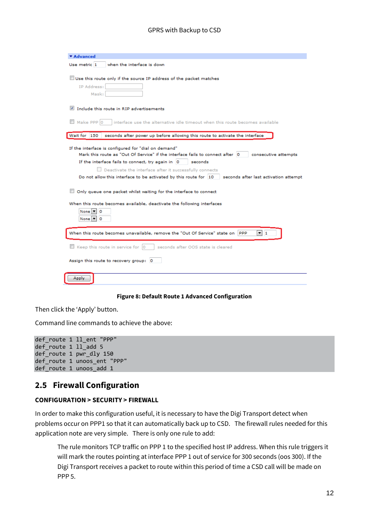| ▼ Advanced                                                                                                                                                                                                                                                                                                                                                                                                                                                                                                                                                                                                             |
|------------------------------------------------------------------------------------------------------------------------------------------------------------------------------------------------------------------------------------------------------------------------------------------------------------------------------------------------------------------------------------------------------------------------------------------------------------------------------------------------------------------------------------------------------------------------------------------------------------------------|
| Use metric 1<br>when the interface is down                                                                                                                                                                                                                                                                                                                                                                                                                                                                                                                                                                             |
| Use this route only if the source IP address of the packet matches                                                                                                                                                                                                                                                                                                                                                                                                                                                                                                                                                     |
| IP Address:                                                                                                                                                                                                                                                                                                                                                                                                                                                                                                                                                                                                            |
| Mask:                                                                                                                                                                                                                                                                                                                                                                                                                                                                                                                                                                                                                  |
| Include this route in RIP advertisements                                                                                                                                                                                                                                                                                                                                                                                                                                                                                                                                                                               |
| Make PPP 0<br>interface use the alternative idle timeout when this route becomes available                                                                                                                                                                                                                                                                                                                                                                                                                                                                                                                             |
| Wait for 150<br>seconds after power up before allowing this route to activate the interface                                                                                                                                                                                                                                                                                                                                                                                                                                                                                                                            |
| If the interface is configured for "dial on demand"<br>Mark this route as "Out Of Service" if the interface fails to connect after  0<br>consecutive attempts<br>If the interface fails to connect, try again in $ 0\rangle$<br>seconds<br>$\Box$ Deactivate the interface after it successfully connects<br>Do not allow this interface to be activated by this route for 10<br>seconds after last activation attempt<br>Only queue one packet whilst waiting for the interface to connect<br>When this route becomes available, deactivate the following interfaces<br>None   ≊     0<br>None $\boxed{\mathbf{v}}$ 0 |
| When this route becomes unavailable, remove the "Out Of Service" state on<br><b>PPP</b><br>▼∃1                                                                                                                                                                                                                                                                                                                                                                                                                                                                                                                         |
| Keep this route in service for 0<br>seconds after OOS state is cleared                                                                                                                                                                                                                                                                                                                                                                                                                                                                                                                                                 |
| Assign this route to recovery group: 0                                                                                                                                                                                                                                                                                                                                                                                                                                                                                                                                                                                 |
| Apply                                                                                                                                                                                                                                                                                                                                                                                                                                                                                                                                                                                                                  |

#### **Figure 8: Default Route 1 Advanced Configuration**

<span id="page-11-1"></span>Then click the 'Apply' button.

Command line commands to achieve the above:

```
def_route 1 ll_ent "PPP"
def route 1 ll add 5
def_route 1 pwr_dly 150
def_route 1 unoos_ent "PPP"
def_route 1 unoos_add 1
```
## <span id="page-11-0"></span>**2.5 Firewall Configuration**

#### **CONFIGURATION > SECURITY > FIREWALL**

In order to make this configuration useful, it is necessary to have the Digi Transport detect when problems occur on PPP1 so that it can automatically back up to CSD. The firewall rules needed for this application note are very simple. There is only one rule to add:

The rule monitors TCP traffic on PPP 1 to the specified host IP address. When this rule triggers it will mark the routes pointing at interface PPP 1 out of service for 300 seconds (oos 300). If the Digi Transport receives a packet to route within this period of time a CSD call will be made on PPP 5.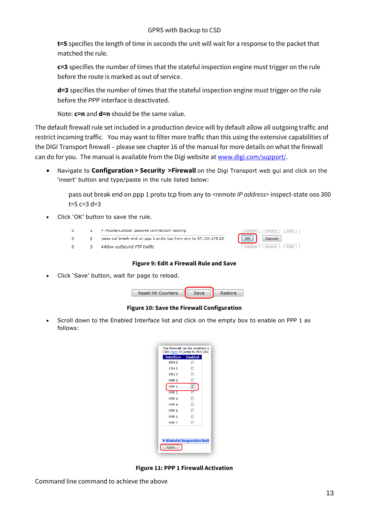**t=5** specifies the length of time in seconds the unit will wait for a response to the packet that matched the rule.

**c=3** specifies the number of times that the stateful inspection engine must trigger on the rule before the route is marked as out of service.

**d=3** specifies the number of times that the stateful inspection engine must trigger on the rule before the PPP interface is deactivated.

Note: **c=n** and **d=n** should be the same value.

The default firewall rule set included in a production device will by default allow all outgoing traffic and restrict incoming traffic. You may want to filter more traffic than this using the extensive capabilities of the DIGI Transport firewall – please see chapter 16 of the manual for more details on what the firewall can do for you. The manual is available from the Digi website a[t www.digi.com/support/.](http://www.digi.com/support/)

 Navigate to **Configuration > Security >Firewall** on the Digi Transport web gui and click on the 'insert' button and type/paste in the rule listed below:

pass out break end on ppp 1 proto tcp from any to *<remote IP address>* inspect-state oos 300  $t=5$  c=3 d=3

Click 'OK' button to save the rule.

|  | # MODIJE/Cellular passive contrection testing                   | Delete<br>ιnserτ<br>can      |
|--|-----------------------------------------------------------------|------------------------------|
|  | pass out break end on ppp 1 proto tcp from any to 67.134.178.29 | OK<br>Cancel                 |
|  | #Allow outbound FTP traffic                                     | Fdit<br>Tnsert  <br>Delete i |

#### **Figure 9: Edit a Firewall Rule and Save**

<span id="page-12-0"></span>Click 'Save' button, wait for page to reload.

| <b>Reset Hit Counters</b> | Restore |
|---------------------------|---------|
|                           |         |

**Figure 10: Save the Firewall Configuration**

<span id="page-12-1"></span> Scroll down to the Enabled Interface list and click on the empty box to enable on PPP 1 as follows:

| <b>Interface Enabled</b> |                          |  |
|--------------------------|--------------------------|--|
| ETH <sub>0</sub>         | $\overline{\phantom{a}}$ |  |
| ETH <sub>1</sub>         |                          |  |
| ETH <sub>2</sub>         |                          |  |
| PPP <sub>0</sub>         |                          |  |
| PPP <sub>1</sub>         | ▿                        |  |
| PPP <sub>2</sub>         |                          |  |
| PPP <sub>3</sub>         |                          |  |
| PPP <sub>4</sub>         | П                        |  |
| PPP <sub>5</sub>         | F                        |  |
| PPP <sub>6</sub>         | $\blacksquare$           |  |
| PPP <sub>7</sub>         | $\blacksquare$           |  |
| Stateful Inspection Sett |                          |  |

<span id="page-12-2"></span>**Figure 11: PPP 1 Firewall Activation**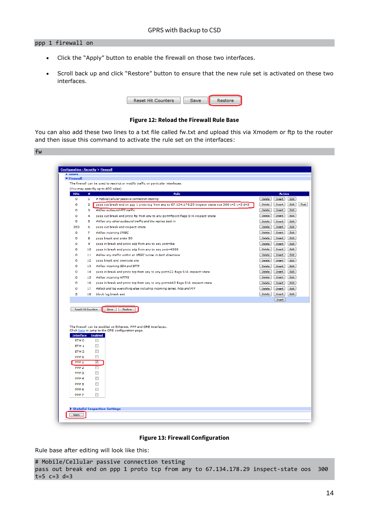#### ppp 1 firewall on

- Click the "Apply" button to enable the firewall on those two interfaces.
- Scroll back up and click "Restore" button to ensure that the new rule set is activated on these two interfaces.

| <b>Reset Hit Counters</b> | Restore |
|---------------------------|---------|
|                           |         |

#### **Figure 12: Reload the Firewall Rule Base**

<span id="page-13-0"></span>You can also add these two lines to a txt file called fw.txt and upload this via Xmodem or ftp to the router and then issue this command to activate the rule set on the interfaces:



| <b>r</b> users    |                           |                                                                                                                        |               |                  |              |      |
|-------------------|---------------------------|------------------------------------------------------------------------------------------------------------------------|---------------|------------------|--------------|------|
| ▼ Firewall        |                           |                                                                                                                        |               |                  |              |      |
|                   |                           | The firewall can be used to restrict or modify traffic on particular interfaces.<br>(You may specifiy up to 400 rules) |               |                  |              |      |
| <b>Hits</b>       | #                         | <b>Rule</b>                                                                                                            |               | <b>Action</b>    |              |      |
| ٥                 | 1                         | # Mobile/Cellular passive connection testing                                                                           | Delete :      | Insert           | Edit         |      |
| $\circ$           | 2                         | pass out break end on ppp 1 proto tcp from any to 67.134.178.29 inspect-state oos 300 t=5 c=3 d=3                      | Delete :      | Insert           | Edit         | Test |
| ٥                 | з                         | #Allow outbound FTP traffic                                                                                            | Delete:       | Insert           | Edit         |      |
| o                 | 4                         | pass out break end proto ftp from any to any port=ftpcnt flags S!A inspect-state                                       | Delete        | Insert           | Edit         |      |
| $\circ$           | 5                         | #Allow any other outbound traffic and the replies back in                                                              | Delete :      | Insert           | Edit         |      |
| 353               | 6                         | pass out break end inspect-state                                                                                       | Delete:       | Insert           | Edit         |      |
| $\circ$           | 7                         | #Allow incoming IPSEC                                                                                                  | <b>Delete</b> | <b>Insert</b>    | Edit         |      |
| o                 | 8                         | pass break end proto 50                                                                                                | Delete        | Insert           | Edit         |      |
| o                 | 9                         | pass in break end proto udp from any to any port=ike                                                                   | Delete        | Insert           | Edit         |      |
| $\circ$           | 10                        |                                                                                                                        | <b>Delete</b> | <b>Insert</b>    | Edit         |      |
| $\Omega$          |                           | pass in break end proto udp from any to any port=4500                                                                  |               |                  | Edit         |      |
| o                 | 11<br>12 <sub>1</sub>     | #Allow any traffic within an IPSEC tunnel in both directions<br>pass break end oneroute any                            | Delette -     | Insert           | Edit         |      |
| o                 | 13                        | #Allow incoming SSH and SFTP                                                                                           | Delete :      | Insert           |              |      |
| o                 |                           |                                                                                                                        | Delete :      | Insert           | Edit<br>Edit |      |
|                   | 14                        | pass in break end proto tcp from any to any port=22 flags S!A inspect-state                                            | Delete -      | Insert           |              |      |
| Ō                 | 15                        | #Allow incoming HTTPS                                                                                                  | Delete :      | Insert           | Edit         |      |
| o                 | 16                        | pass in break end proto tcp from any to any port=443 flags S!A inspect-state                                           | Delete        | Insert           | Edit         |      |
| $\circ$           | 17                        | #Block and log everything else including incoming telnet, http and FTP                                                 | Delete :      | Insert           | Edit         |      |
| 5                 | 18                        | block log break end                                                                                                    | Delete -      | Insert<br>Insert | Edit         |      |
|                   | <b>Reset Hit Counters</b> | Save<br>Restore                                                                                                        |               |                  |              |      |
|                   |                           | The firewall can be enabled on Ethernet, PPP and GRE interfaces.<br>Click here to jump to the GRE configuration page.  |               |                  |              |      |
| Interface Enabled |                           |                                                                                                                        |               |                  |              |      |
| ETH <sub>0</sub>  |                           | $\Box$                                                                                                                 |               |                  |              |      |
| ETH <sub>1</sub>  |                           | $\blacksquare$                                                                                                         |               |                  |              |      |
| ETH <sub>2</sub>  |                           | $\Box$                                                                                                                 |               |                  |              |      |
| PPP <sub>0</sub>  |                           | $\overline{\phantom{a}}$                                                                                               |               |                  |              |      |
| PPP <sub>1</sub>  |                           | $\blacktriangledown$                                                                                                   |               |                  |              |      |
| PPP <sub>2</sub>  |                           | $\Box$                                                                                                                 |               |                  |              |      |
| PPP <sub>3</sub>  |                           | $\overline{\phantom{a}}$                                                                                               |               |                  |              |      |
| PPP <sub>4</sub>  |                           | $\Box$                                                                                                                 |               |                  |              |      |
| PPP <sub>5</sub>  |                           | $\Box$                                                                                                                 |               |                  |              |      |
| PPP <sub>6</sub>  |                           | $\overline{\phantom{a}}$                                                                                               |               |                  |              |      |
| PPP <sub>7</sub>  |                           | <b>FREE</b>                                                                                                            |               |                  |              |      |
|                   |                           |                                                                                                                        |               |                  |              |      |

#### **Figure 13: Firewall Configuration**

<span id="page-13-1"></span>Rule base after editing will look like this:

```
# Mobile/Cellular passive connection testing
pass out break end on ppp 1 proto tcp from any to 67.134.178.29 inspect-state oos 300 
t=5 c=3 d=3
```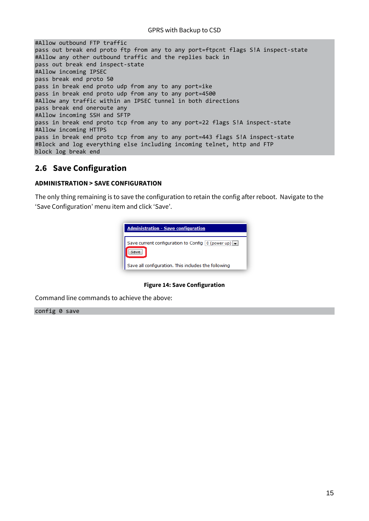| #Allow outbound FTP traffic                                                      |
|----------------------------------------------------------------------------------|
| pass out break end proto ftp from any to any port=ftpcnt flags S!A inspect-state |
| #Allow any other outbound traffic and the replies back in                        |
| pass out break end inspect-state                                                 |
| #Allow incoming IPSEC                                                            |
| pass break end proto 50                                                          |
| pass in break end proto udp from any to any port=ike                             |
| pass in break end proto udp from any to any port=4500                            |
| #Allow any traffic within an IPSEC tunnel in both directions                     |
| pass break end oneroute any                                                      |
| #Allow incoming SSH and SFTP                                                     |
| pass in break end proto tcp from any to any port=22 flags S!A inspect-state      |
| #Allow incoming HTTPS                                                            |
| pass in break end proto tcp from any to any port=443 flags S!A inspect-state     |
| #Block and log everything else including incoming telnet, http and FTP           |
| block log break end                                                              |
|                                                                                  |

## <span id="page-14-0"></span>**2.6 Save Configuration**

#### **ADMINISTRATION > SAVE CONFIGURATION**

The only thing remaining is to save the configuration to retain the config after reboot. Navigate to the 'Save Configuration' menu item and click 'Save'.



#### **Figure 14: Save Configuration**

<span id="page-14-1"></span>Command line commands to achieve the above:

config 0 save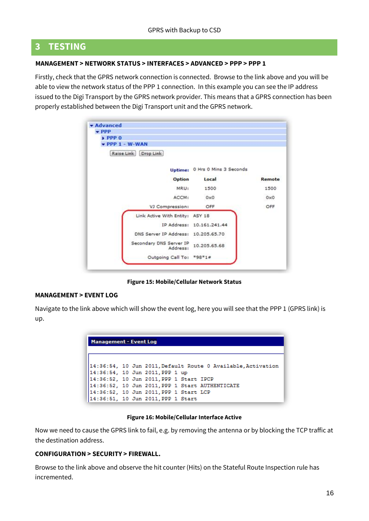## <span id="page-15-0"></span>**3 TESTING**

#### **MANAGEMENT > NETWORK STATUS > INTERFACES > ADVANCED > PPP > PPP 1**

Firstly, check that the GPRS network connection is connected. Browse to the link above and you will be able to view the network status of the PPP 1 connection. In this example you can see the IP address issued to the Digi Transport by the GPRS network provider. This means that a GPRS connection has been properly established between the Digi Transport unit and the GPRS network.

| <b>v</b> Advanced<br>PPP            |                                |        |
|-------------------------------------|--------------------------------|--------|
| $\triangleright$ PPP $0$            |                                |        |
| $\blacktriangleright$ PPP 1 - W-WAN |                                |        |
| Raise Link Drop Link                |                                |        |
|                                     | Uptime: 0 Hrs 0 Mins 3 Seconds |        |
| Option                              | Local                          | Remote |
| MRU:                                | 1500                           | 1500   |
| ACCM:                               | 0x0                            | 0x0    |
| VJ Compression:                     | OFF.                           | OFF    |
| Link Active With Entity: ASY 18     |                                |        |
|                                     | IP Address: 10.161.241.44      |        |
| DNS Server IP Address: 10.205.65.70 |                                |        |
| Secondary DNS Server IP<br>Address: | 10.205.65.68                   |        |
| Outgoing Call To: *98*1#            |                                |        |

**Figure 15: Mobile/Cellular Network Status**

#### <span id="page-15-1"></span>**[MANAGEMENT >](http://10.1.63.198/eventlog.asp) EVENT LOG**

Navigate to the link above which will show the event log, here you will see that the PPP 1 (GPRS link) is up.

| <b>Management - Event Log</b>                                                                   |
|-------------------------------------------------------------------------------------------------|
| 14:36:54, 10 Jun 2011, Default Route 0 Available, Activation<br>14:36:54, 10 Jun 2011, PPP 1 up |
| 14:36:52, 10 Jun 2011, PPP 1 Start IPCP                                                         |
| 14:36:52, 10 Jun 2011, PPP 1 Start AUTHENTICATE                                                 |
| 14:36:52, 10 Jun 2011, PPP 1 Start LCP                                                          |
| 14:36:51, 10 Jun 2011, PPP 1 Start                                                              |

#### **Figure 16: Mobile/Cellular Interface Active**

<span id="page-15-2"></span>Now we need to cause the GPRS link to fail, e.g. by removing the antenna or by blocking the TCP traffic at the destination address.

#### **CONFIGURATION > SECURITY > FIREWALL.**

Browse to the link above and observe the hit counter (Hits) on the Stateful Route Inspection rule has incremented.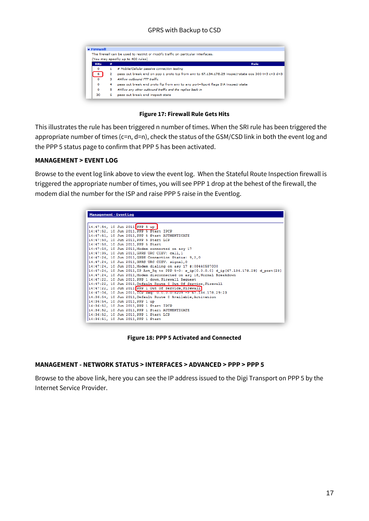|             |                | The firewall can be used to restrict or modify traffic on particular interfaces.                  |
|-------------|----------------|---------------------------------------------------------------------------------------------------|
|             |                | (You may specifiy up to 400 rules)                                                                |
| <b>Hits</b> | #              | Rule                                                                                              |
| $\circ$     | 1.             | # Mobile/Cellular passive connection testing                                                      |
| -6          | $\overline{2}$ | pass out break end on ppp 1 proto tcp from any to 67.134.178.29 inspect-state oos 300 t=5 c=3 d=3 |
| $\Omega$    | з              | #Allow outhound FTP traffic                                                                       |
| $\circ$     | 4              | pass out break end proto ftp from any to any port=ftpcnt flags S!A inspect-state                  |
| $\circ$     | 5              | #Allow any other outbound traffic and the replies back in                                         |
| 30          | 6              | pass out break end inspect-state                                                                  |

**Figure 17: Firewall Rule Gets Hits**

<span id="page-16-0"></span>This illustrates the rule has been triggered n number of times. When the SRI rule has been triggered the appropriate number of times (c=n, d=n), check the status of the GSM/CSD link in both the event log and the PPP 5 status page to confirm that PPP 5 has been activated.

#### **MANAGEMENT > EVENT LOG**

Browse to the event log link above to view the event log. When the Stateful Route Inspection firewall is triggered the appropriate number of times, you will see PPP 1 drop at the behest of the firewall, the modem dial the number for the ISP and raise PPP 5 raise in the Eventlog.

| <b>Management - Event Log</b> |  |                                                                                           |
|-------------------------------|--|-------------------------------------------------------------------------------------------|
|                               |  |                                                                                           |
|                               |  | 14:47:54, 10 Jun 2011 PPP 5 up                                                            |
|                               |  | 14:47:52, 10 Jun 2011, PPP 5 Start IPCP                                                   |
|                               |  | 14:47:51, 10 Jun 2011, PPP 5 Start AUTHENTICATE                                           |
|                               |  | 14:47:50, 10 Jun 2011, PPP 5 Start LCP                                                    |
|                               |  | 14:47:50, 10 Jun 2011, PPP 5 Start                                                        |
|                               |  | 14:47:50, 10 Jun 2011, Modem connected on asy 17                                          |
|                               |  | 14:47:35, 10 Jun 2011, GPRS URC CIEV: call, 1                                             |
|                               |  | 14:47:26, 10 Jun 2011, GPRS Connection Status: 9,2,0                                      |
|                               |  | 14:47:24, 10 Jun 2011, GPRS URC CIEV: signal, 0                                           |
|                               |  | 14:47:24, 10 Jun 2011, Modem dialing on asy 17 #:08440587000                              |
|                               |  | 14:47:24, 10 Jun 2011, IP Act Rq to PPP 5-0: s ip[0.0.0.0] d ip[67.134.178.29] d port[23] |
|                               |  | 14:47:24, 10 Jun 2011, Modem disconnected on asy 18, Normal Breakdown                     |
|                               |  | 14:47:22, 10 Jun 2011, PPP 1 down. Firewall Request                                       |
|                               |  | 14:47:22. 10 Jun 2011. Default Route 0 Out Of Service. Firewall                           |
|                               |  | 14:47:22, 10 Jun 2011 PPP 1 Out Of Service, Firewall                                      |
|                               |  | 14:47:06, 10 Jun 2011, ICP Reg: 0.0.0.0.8209 -> 67.134.178.29:23                          |
|                               |  | 14:36:54, 10 Jun 2011, Default Route 0 Available, Activation                              |
|                               |  | 14:36:54, 10 Jun 2011, PPP 1 up                                                           |
|                               |  | 14:36:52, 10 Jun 2011, PPP 1 Start IPCP                                                   |
|                               |  | 14:36:52, 10 Jun 2011, PPP 1 Start AUTHENTICATE                                           |
|                               |  | 14:36:52, 10 Jun 2011, PPP 1 Start LCP                                                    |
|                               |  | 14:36:51, 10 Jun 2011, PPP 1 Start                                                        |

**Figure 18: PPP 5 Activated and Connected**

#### <span id="page-16-1"></span>**MANAGEMENT - NETWORK STATUS > INTERFACES > ADVANCED > PPP > PPP 5**

Browse to the above link, here you can see the IP address issued to the Digi Transport on PPP 5 by the Internet Service Provider.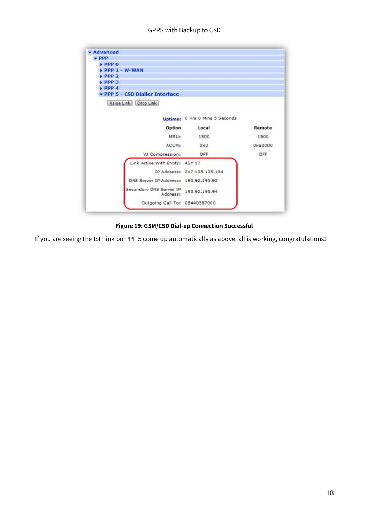| <b>v</b> Advanced                    |                                |         |
|--------------------------------------|--------------------------------|---------|
| $\div$ PPP                           |                                |         |
| $\rightarrow$ PPP $\sigma$           |                                |         |
| $\triangleright$ PPP 1 - W-WAN       |                                |         |
| PPP2                                 |                                |         |
| EPPP3                                |                                |         |
| $\blacktriangleright$ PPP 4          |                                |         |
| PPP 5 - CSD Dialler Interface        |                                |         |
| Raise Link Drop Link                 |                                |         |
|                                      |                                |         |
|                                      | Uptime: 0 Hrs 0 Mins 5 Seconds |         |
|                                      |                                |         |
| Option                               | Local                          | Remote  |
| MRU:                                 | 1500                           | 1500    |
| ACCM:                                | 0x0                            | 0xa0000 |
| VJ Compression:                      | OFF                            | OFF     |
| Link Active With Entity: ASY 17      |                                |         |
|                                      | IP Address: 217.135.135.104    |         |
|                                      |                                |         |
| DNS Server IP Address: 195.92.195.95 |                                |         |
| Secondary DNS Server IP<br>Address:  | 195.92.195.94                  |         |

#### **Figure 19: GSM/CSD Dial-up Connection Successful**

<span id="page-17-0"></span>If you are seeing the ISP link on PPP 5 come up automatically as above, all is working, congratulations!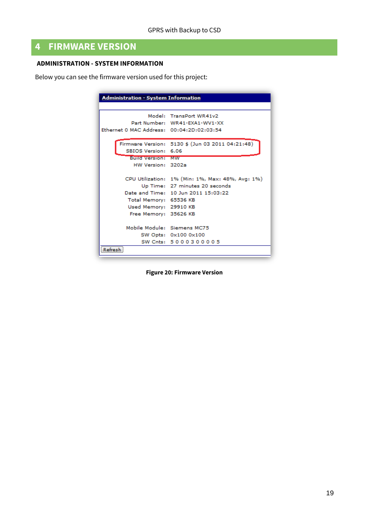## <span id="page-18-0"></span>**4 FIRMWARE VERSION**

#### **ADMINISTRATION - [SYSTEM INFORMATION](http://10.1.63.198/sysinf.asp)**

Below you can see the firmware version used for this project:

| Administration - System Information       |                                                  |  |
|-------------------------------------------|--------------------------------------------------|--|
|                                           |                                                  |  |
|                                           | Model: TransPort WR41v2                          |  |
|                                           | Part Number: WR41-EXA1-WV1-XX                    |  |
| Ethernet 0 MAC Address: 00:04:2D:02:03:54 |                                                  |  |
|                                           |                                                  |  |
|                                           | Firmware Version: 5130 \$ (Jun 03 2011 04:21:48) |  |
| SBIOS Version: 6.06                       |                                                  |  |
| <b>Build Version: MW</b>                  |                                                  |  |
| HW Version: 3202a                         |                                                  |  |
|                                           |                                                  |  |
|                                           | CPU Utilization: 1% (Min: 1%, Max: 48%, Avg: 1%) |  |
|                                           | Up Time: 27 minutes 20 seconds                   |  |
|                                           | Date and Time: 10 Jun 2011 15:03:22              |  |
| Total Memory: 65536 KB                    |                                                  |  |
| Used Memory: 29910 KB                     |                                                  |  |
| Free Memory: 35626 KB                     |                                                  |  |
|                                           |                                                  |  |
|                                           | Mobile Module: Siemens MC75                      |  |
|                                           | SW Opts: 0x100 0x100                             |  |
|                                           | SW Cnts: 5000300005                              |  |
| Refresh                                   |                                                  |  |

<span id="page-18-1"></span>**Figure 20: Firmware Version**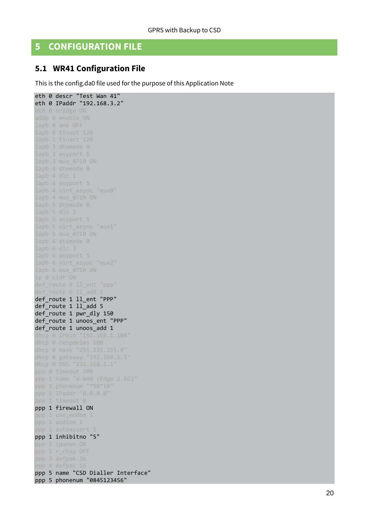## <span id="page-19-0"></span>**5 CONFIGURATION FILE**

## <span id="page-19-1"></span>**5.1 WR41 Configuration File**

This is the config.da0 file used for the purpose of this Application Note

eth 0 descr "Test Wan 41" eth 0 IPaddr "192.168.3.2 " lapb 0 tinact 120 lapb 1 tinact 120 lapb 3 asyport 5 lapb 4 dtemode 0 lapb 4 dlc 1 lapb 4 asyport 5 lapb 4 virt\_async "mux0" lapb 4 mux 0710 ON lapb 5 asyport 5 lapb 5 virt\_async "mux1" lapb 6 asyport 5 lapb 6 virt async "mux2" def\_route 0 ll\_ent "ppp" def\_route 0 ll\_add 1 def\_route 1 ll\_ent "PPP" def\_route 1 ll\_add 5 def\_route 1 pwr\_dly 150 def route 1 unoos ent "PPP" def\_route 1 unoos\_add 1 dhcp 0 IPmin "192.168.1.100" dhcp 0 mask "255.255.255.0" ppp 0 timeout 300 ppp 1 name "W -WAN (Edge 2.5G)" ppp 1 phonenum "\*98\*1# ppp 1 IPaddr "0.0.0.0" ppp 1 timeout 0 ppp 1 firewall ON ppp 1 use modem 1 ppp 1 aodion 1 ppp 1 autoassert 1 ppp 1 inhibitno "5" ppp 1 ipanon ON ppp 1 r\_chap OFF ppp 4 defpak 16 ppp 5 name "CSD Dialler Interface" ppp 5 phonenum "0845123456 "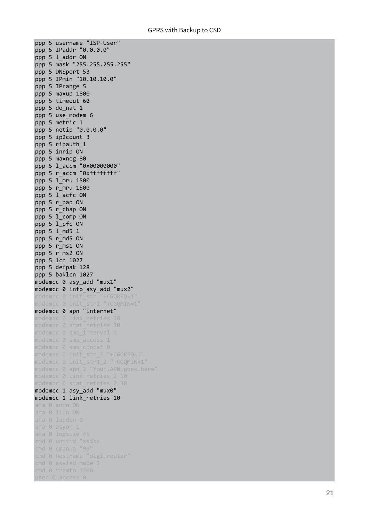ppp 5 username "ISP -User " ppp 5 IPaddr "0.0.0.0" ppp 5 l\_addr ON ppp 5 mask "255.255.255.255" ppp 5 DNSport 53 ppp 5 IPmin "10.10.10.0" ppp 5 IPrange 5 ppp 5 maxup 1800 ppp 5 timeout 60 ppp 5 do\_nat 1 ppp 5 use\_modem 6 ppp 5 metric 1 ppp 5 netip "0.0.0.0" ppp 5 ip2count 3 ppp 5 ripauth 1 ppp 5 inrip ON ppp 5 maxneg 80 ppp 5 l\_accm "0x00000000" ppp 5 r\_accm "0xffffffff" ppp 5 l\_mru 1500 ppp 5 r\_mru 1500 ppp 5 l\_acfc ON ppp 5 r\_pap ON ppp 5 r\_chap ON ppp 5 l\_comp ON ppp 5 l\_pfc ON ppp 5 l\_md5 1 ppp 5 r\_md5 ON ppp 5 r ms1 ON ppp 5 r\_ms2 ON ppp 5 lcn 1027 ppp 5 defpak 128 ppp 5 baklcn 1027 modemcc 0 asy\_add "mux1" modemcc 0 info\_asy\_add "mux2" modemcc 0 init\_str "+CGQREQ=1" modemcc 0 init str1 "+CGOMIN=1" modemcc 0 apn "internet" modemcc 0 link retries 10 modemcc 0 sms interval 1 modemcc 0 sms\_concat 0 modemcc 0 init\_str\_2 "+CGQREQ=1" modemcc 0 init\_str1\_2 "+CGQMIN=1" modemcc 0 apn\_2 "Your.APN.goes.here" modemcc 0 stat retries 2 30 modemcc 1 asy\_add "mux0" modemcc 1 link\_retries 10 cmd 0 tremto 1200